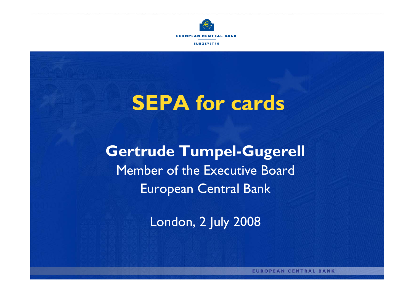

**EUROPEAN CE TRAL BANK EUROSYSTEM** 

# **SEPA for cards**

**Gertrude Tumpel-Gugerell** Member of the Executive Board European Central Bank

London, 2 July 2008

**EUROPEAN CENTRAL BANK**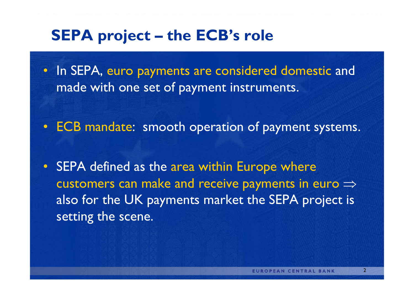### **SEPA project – the ECB's role**

• In SEPA, euro payments are considered domestic and made with one set of payment instruments.

- ECB mandate: smooth operation of payment systems.
- SEPA defined as the area within Europe where customers can make and receive payments in euro  $\Rightarrow$ also for the UK payments market the SEPA project is setting the scene.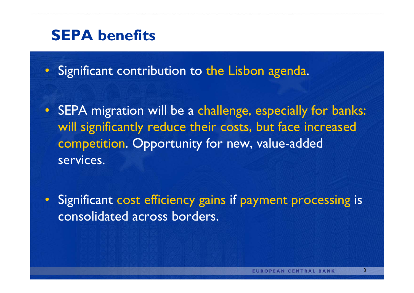### **SEPA benefits**

• Significant contribution to the Lisbon agenda.

• SEPA migration will be a challenge, especially for banks: will significantly reduce their costs, but face increased competition. Opportunity for new, value-added services.

• Significant cost efficiency gains if payment processing is consolidated across borders.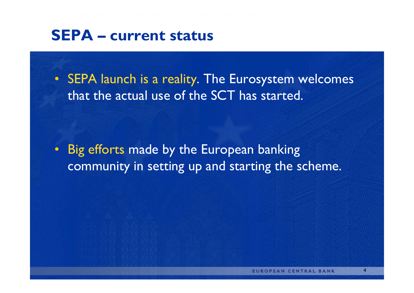#### **SEPA – current status**

• SEPA launch is a reality. The Eurosystem welcomes that the actual use of the SCT has started.

• Big efforts made by the European banking community in setting up and starting the scheme.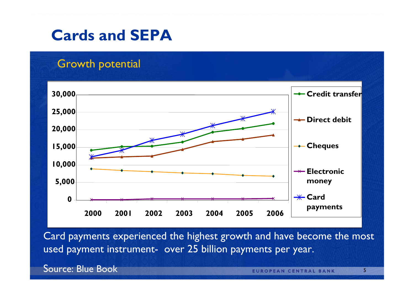#### **Cards and SEPA**

#### Growth potential



Card payments experienced the highest growth and have become the most used payment instrument-over 25 billion payments per year.

Source: Blue Book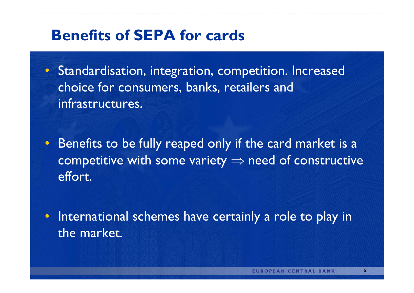#### **Benefits of SEPA for cards**

• Standardisation, integration, competition. Increased choice for consumers, banks, retailers and infrastructures.

• Benefits to be fully reaped only if the card market is a competitive with some variety  $\Rightarrow$  need of constructive effort.

• International schemes have certainly a role to play in the market.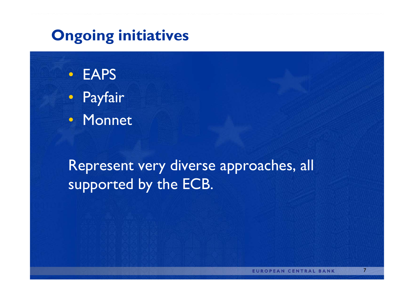# **Ongoing initiatives**

- EAPS• Payfair
- Monnet

# Represent very diverse approaches, all supported by the ECB.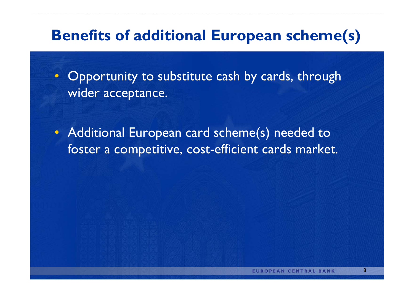# **Benefits of additional European scheme(s)**

• Opportunity to substitute cash by cards, through wider acceptance.

• Additional European card scheme(s) needed to foster a competitive, cost-efficient cards market.